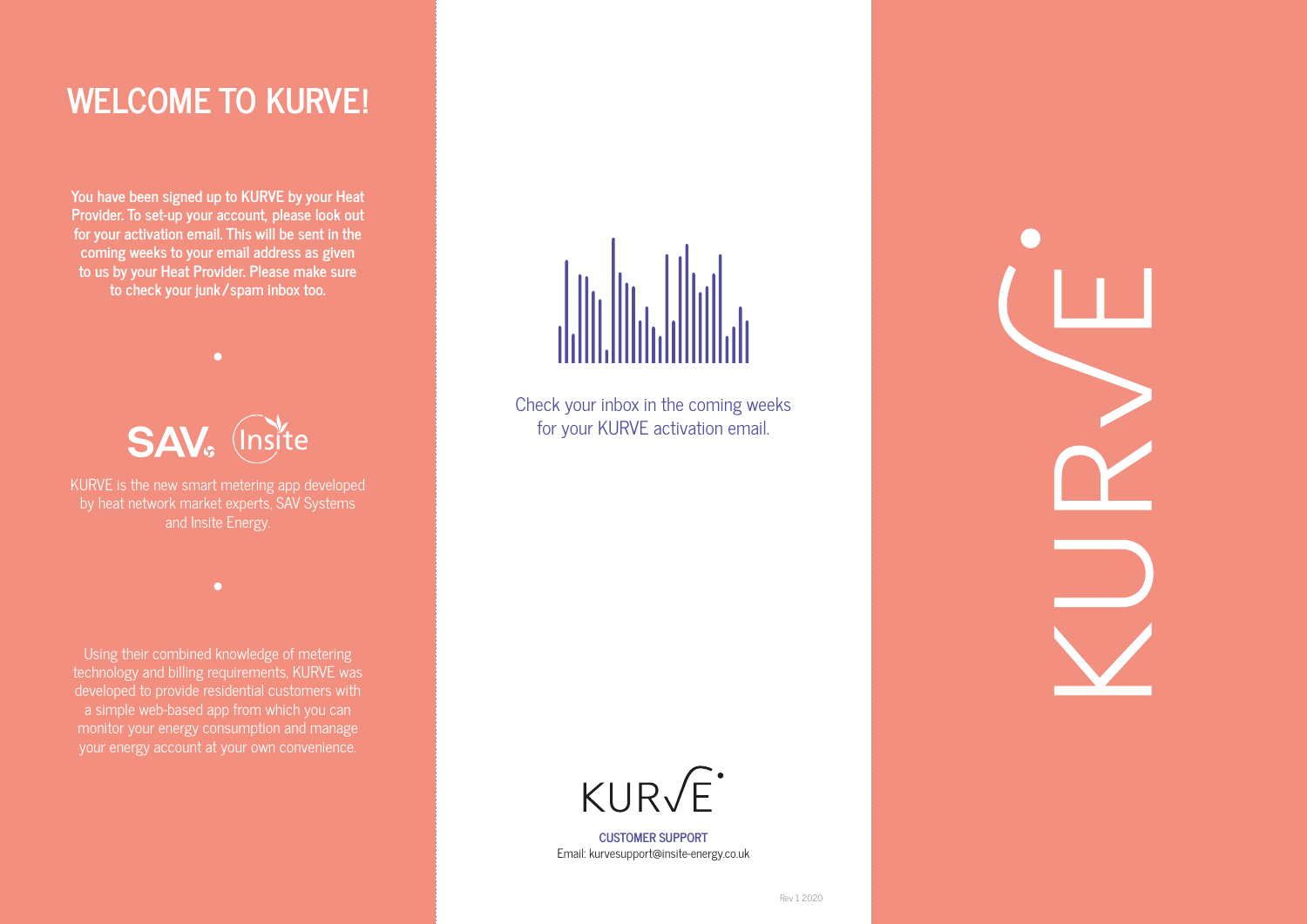## **WELCOME TO KURVE!**

**You have been signed up to KURVE by your Heat Provider. To set-up your account, please look out for your activation email. This will be sent in the coming weeks to your email address as given to us by your Heat Provider. Please make sure to check your junk/spam inbox too.**



 $\bullet$ 

KURVE is the new smart metering app developed by heat network market experts, SAV Systems and Insite Energy.

 $\bullet$ 

Using their combined knowledge of metering technology and billing requirements, KURVE was developed to provide residential customers with a simple web-based app from which you can monitor your energy consumption and manage your energy account at your own convenience.



Check your inbox in the coming weeks for your KURVE activation email.



**CUSTOMER SUPPORT** Email: kurvesupport@insite-energy.co.uk